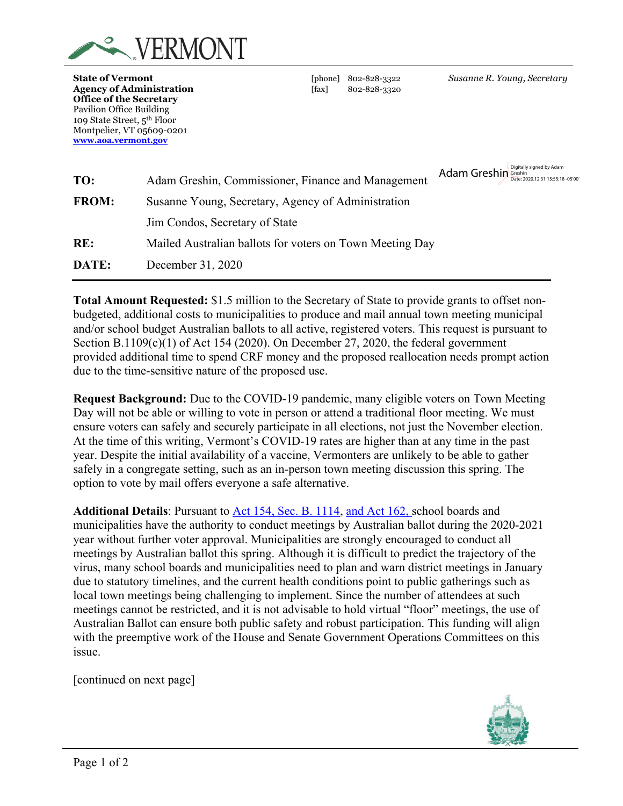

**State of Vermont** [phone] 802-828-3322 *Susanne R. Young, Secretary* **Agency of Administration** [fax] 802-828-3320 **Office of the Secretary** Pavilion Office Building 109 State Street, 5th Floor Montpelier, VT 05609-0201 **[www.aoa.vermont.gov](http://www.aoa.vermont.gov/)**

| TO:          | Adam Greshin, Commissioner, Finance and Management       | Adam Greshin Greshin Steshin Date: 2020.12.31 15:55:18 -05'00' |
|--------------|----------------------------------------------------------|----------------------------------------------------------------|
| <b>FROM:</b> | Susanne Young, Secretary, Agency of Administration       |                                                                |
|              | Jim Condos, Secretary of State                           |                                                                |
| RE:          | Mailed Australian ballots for voters on Town Meeting Day |                                                                |
| DATE:        | December 31, 2020                                        |                                                                |
|              |                                                          |                                                                |

**Total Amount Requested:** \$1.5 million to the Secretary of State to provide grants to offset nonbudgeted, additional costs to municipalities to produce and mail annual town meeting municipal and/or school budget Australian ballots to all active, registered voters. This request is pursuant to Section B.1109(c)(1) of Act 154 (2020). On December 27, 2020, the federal government provided additional time to spend CRF money and the proposed reallocation needs prompt action due to the time-sensitive nature of the proposed use.

**Request Background:** Due to the COVID-19 pandemic, many eligible voters on Town Meeting Day will not be able or willing to vote in person or attend a traditional floor meeting. We must ensure voters can safely and securely participate in all elections, not just the November election. At the time of this writing, Vermont's COVID-19 rates are higher than at any time in the past year. Despite the initial availability of a vaccine, Vermonters are unlikely to be able to gather safely in a congregate setting, such as an in-person town meeting discussion this spring. The option to vote by mail offers everyone a safe alternative.

**Additional Details**: Pursuant to [Act 154, Sec. B. 1114,](https://legislature.vermont.gov/Documents/2020/Docs/ACTS/ACT154/ACT154%20As%20Enacted.pdf#page=115) and Act 162, school boards and municipalities have the authority to conduct meetings by Australian ballot during the 2020-2021 year without further voter approval. Municipalities are strongly encouraged to conduct all meetings by Australian ballot this spring. Although it is difficult to predict the trajectory of the virus, many school boards and municipalities need to plan and warn district meetings in January due to statutory timelines, and the current health conditions point to public gatherings such as local town meetings being challenging to implement. Since the number of attendees at such meetings cannot be restricted, and it is not advisable to hold virtual "floor" meetings, the use of Australian Ballot can ensure both public safety and robust participation. This funding will align with the preemptive work of the House and Senate Government Operations Committees on this issue.

[continued on next page]